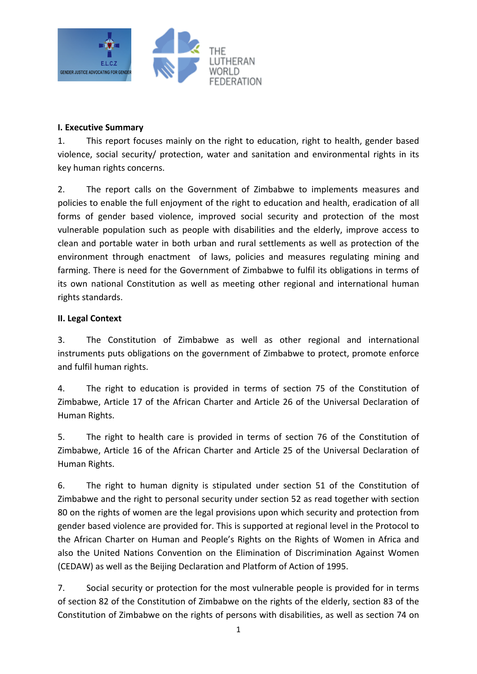

#### **I. Executive Summary**

1. This report focuses mainly on the right to education, right to health, gender based violence, social security/ protection, water and sanitation and environmental rights in its key human rights concerns.

2. The report calls on the Government of Zimbabwe to implements measures and policies to enable the full enjoyment of the right to education and health, eradication of all forms of gender based violence, improved social security and protection of the most vulnerable population such as people with disabilities and the elderly, improve access to clean and portable water in both urban and rural settlements as well as protection of the environment through enactment of laws, policies and measures regulating mining and farming. There is need for the Government of Zimbabwe to fulfil its obligations in terms of its own national Constitution as well as meeting other regional and international human rights standards.

# **II. Legal Context**

3. The Constitution of Zimbabwe as well as other regional and international instruments puts obligations on the government of Zimbabwe to protect, promote enforce and fulfil human rights.

4. The right to education is provided in terms of section 75 of the Constitution of Zimbabwe, Article 17 of the African Charter and Article 26 of the Universal Declaration of Human Rights.

5. The right to health care is provided in terms of section 76 of the Constitution of Zimbabwe, Article 16 of the African Charter and Article 25 of the Universal Declaration of Human Rights.

6. The right to human dignity is stipulated under section 51 of the Constitution of Zimbabwe and the right to personal security under section 52 as read together with section 80 on the rights of women are the legal provisions upon which security and protection from gender based violence are provided for. This is supported at regional level in the Protocol to the African Charter on Human and People'<sup>s</sup> Rights on the Rights of Women in Africa and also the United Nations Convention on the Elimination of Discrimination Against Women (CEDAW) as well as the Beijing Declaration and Platform of Action of 1995.

7. Social security or protection for the most vulnerable people is provided for in terms of section 82 of the Constitution of Zimbabwe on the rights of the elderly, section 83 of the Constitution of Zimbabwe on the rights of persons with disabilities, as well as section 74 on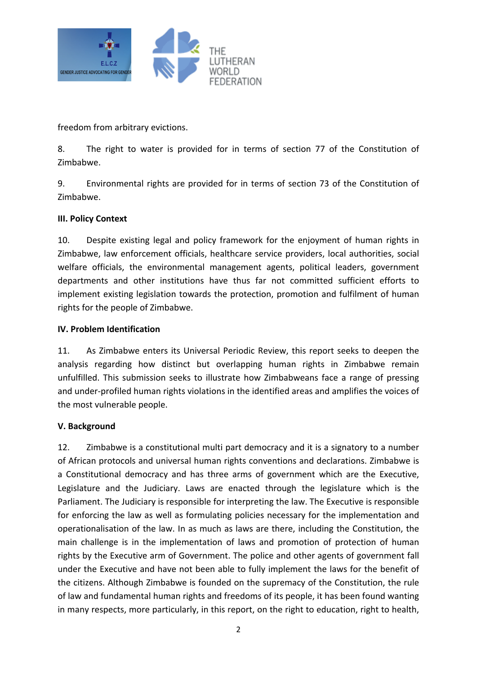

freedom from arbitrary evictions.

8. The right to water is provided for in terms of section 77 of the Constitution of Zimbabwe.

9. Environmental rights are provided for in terms of section 73 of the Constitution of Zimbabwe.

# **III. Policy Context**

10. Despite existing legal and policy framework for the enjoyment of human rights in Zimbabwe, law enforcement officials, healthcare service providers, local authorities, social welfare officials, the environmental management agents, political leaders, government departments and other institutions have thus far not committed sufficient efforts to implement existing legislation towards the protection, promotion and fulfilment of human rights for the people of Zimbabwe.

# **IV. Problem Identification**

11. As Zimbabwe enters its Universal Periodic Review, this report seeks to deepen the analysis regarding how distinct but overlapping human rights in Zimbabwe remain unfulfilled. This submission seeks to illustrate how Zimbabweans face <sup>a</sup> range of pressing and under-profiled human rights violations in the identified areas and amplifies the voices of the most vulnerable people.

# **V. Background**

12. Zimbabwe is <sup>a</sup> constitutional multi part democracy and it is <sup>a</sup> signatory to <sup>a</sup> number of African protocols and universal human rights conventions and declarations. Zimbabwe is <sup>a</sup> Constitutional democracy and has three arms of government which are the Executive, Legislature and the Judiciary. Laws are enacted through the legislature which is the Parliament. The Judiciary is responsible for interpreting the law. The Executive is responsible for enforcing the law as well as formulating policies necessary for the implementation and operationalisation of the law. In as much as laws are there, including the Constitution, the main challenge is in the implementation of laws and promotion of protection of human rights by the Executive arm of Government. The police and other agents of government fall under the Executive and have not been able to fully implement the laws for the benefit of the citizens. Although Zimbabwe is founded on the supremacy of the Constitution, the rule of law and fundamental human rights and freedoms of its people, it has been found wanting in many respects, more particularly, in this report, on the right to education, right to health,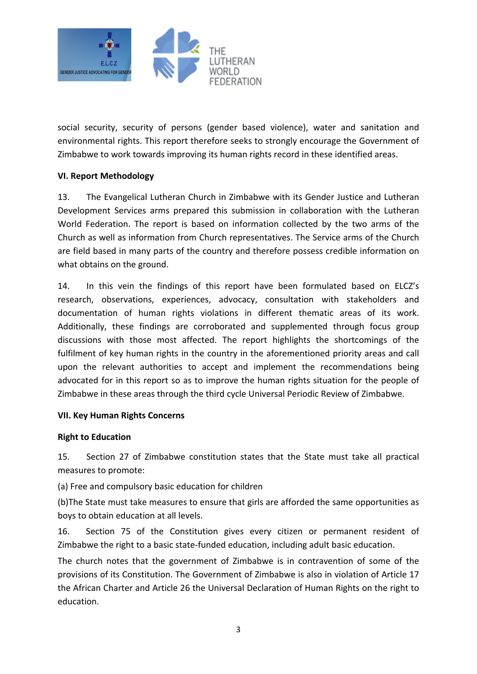

social security, security of persons (gender based violence), water and sanitation and environmental rights. This report therefore seeks to strongly encourage the Government of Zimbabwe to work towards improving its human rights record in these identified areas.

# **VI. Report Methodology**

13. The Evangelical Lutheran Church in Zimbabwe with its Gender Justice and Lutheran Development Services arms prepared this submission in collaboration with the Lutheran World Federation. The report is based on information collected by the two arms of the Church as well as information from Church representatives. The Service arms of the Church are field based in many parts of the country and therefore possess credible information on what obtains on the ground.

14. In this vein the findings of this report have been formulated based on ELCZ'<sup>s</sup> research, observations, experiences, advocacy, consultation with stakeholders and documentation of human rights violations in different thematic areas of its work. Additionally, these findings are corroborated and supplemented through focus group discussions with those most affected. The report highlights the shortcomings of the fulfilment of key human rights in the country in the aforementioned priority areas and call upon the relevant authorities to accept and implement the recommendations being advocated for in this report so as to improve the human rights situation for the people of Zimbabwe in these areas through the third cycle Universal Periodic Review of Zimbabwe.

# **VII. Key Human Rights Concerns**

# **Right to Education**

15. Section 27 of Zimbabwe constitution states that the State must take all practical measures to promote:

(a) Free and compulsory basic education for children

(b)The State must take measures to ensure that girls are afforded the same opportunities as boys to obtain education at all levels.

16. Section 75 of the Constitution gives every citizen or permanent resident of Zimbabwe the right to <sup>a</sup> basic state-funded education, including adult basic education.

The church notes that the government of Zimbabwe is in contravention of some of the provisions of its Constitution. The Government of Zimbabwe is also in violation of Article 17 the African Charter and Article 26 the Universal Declaration of Human Rights on the right to education.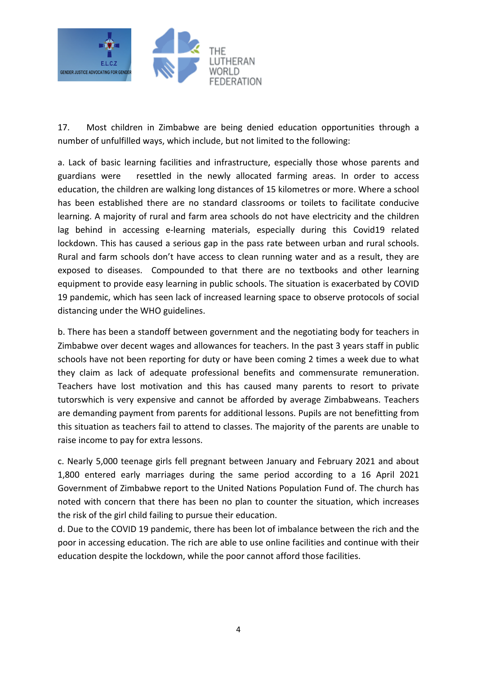

17. Most children in Zimbabwe are being denied education opportunities through <sup>a</sup> number of unfulfilled ways, which include, but not limited to the following:

a. Lack of basic learning facilities and infrastructure, especially those whose parents and guardians were resettled in the newly allocated farming areas. In order to access education, the children are walking long distances of 15 kilometres or more. Where <sup>a</sup> school has been established there are no standard classrooms or toilets to facilitate conducive learning. A majority of rural and farm area schools do not have electricity and the children lag behind in accessing e-learning materials, especially during this Covid19 related lockdown. This has caused <sup>a</sup> serious gap in the pass rate between urban and rural schools. Rural and farm schools don'<sup>t</sup> have access to clean running water and as <sup>a</sup> result, they are exposed to diseases. Compounded to that there are no textbooks and other learning equipment to provide easy learning in public schools. The situation is exacerbated by COVID 19 pandemic, which has seen lack of increased learning space to observe protocols of social distancing under the WHO guidelines.

b. There has been <sup>a</sup> standoff between government and the negotiating body for teachers in Zimbabwe over decent wages and allowances for teachers. In the past 3 years staff in public schools have not been reporting for duty or have been coming 2 times <sup>a</sup> week due to what they claim as lack of adequate professional benefits and commensurate remuneration. Teachers have lost motivation and this has caused many parents to resort to private tutorswhich is very expensive and cannot be afforded by average Zimbabweans. Teachers are demanding payment from parents for additional lessons. Pupils are not benefitting from this situation as teachers fail to attend to classes. The majority of the parents are unable to raise income to pay for extra lessons.

c. Nearly 5,000 teenage girls fell pregnant between January and February 2021 and about 1,800 entered early marriages during the same period according to <sup>a</sup> 16 April 2021 Government of Zimbabwe report to the United Nations Population Fund of. The church has noted with concern that there has been no plan to counter the situation, which increases the risk of the girl child failing to pursue their education.

d. Due to the COVID 19 pandemic, there has been lot of imbalance between the rich and the poor in accessing education. The rich are able to use online facilities and continue with their education despite the lockdown, while the poor cannot afford those facilities.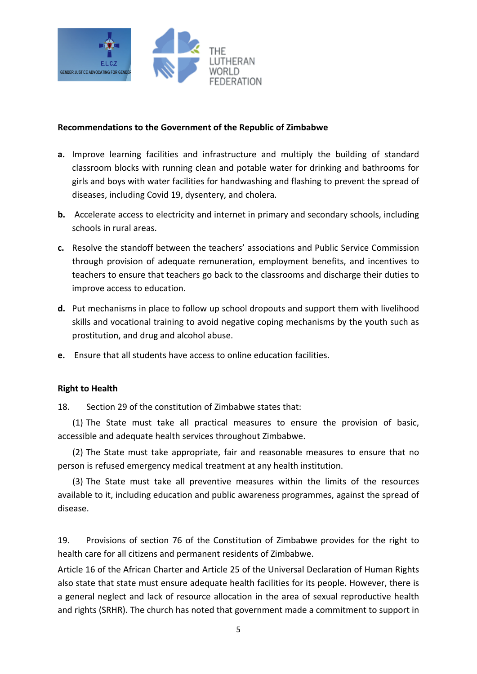

#### **Recommendations to the Government of the Republic of Zimbabwe**

- **a.** Improve learning facilities and infrastructure and multiply the building of standard classroom blocks with running clean and potable water for drinking and bathrooms for girls and boys with water facilities for handwashing and flashing to prevent the spread of diseases, including Covid 19, dysentery, and cholera.
- **b.** Accelerate access to electricity and internet in primary and secondary schools, including schools in rural areas.
- **c.** Resolve the standoff between the teachers' associations and Public Service Commission through provision of adequate remuneration, employment benefits, and incentives to teachers to ensure that teachers go back to the classrooms and discharge their duties to improve access to education.
- **d.** Put mechanisms in place to follow up school dropouts and support them with livelihood skills and vocational training to avoid negative coping mechanisms by the youth such as prostitution, and drug and alcohol abuse.
- **e.** Ensure that all students have access to online education facilities.

# **Right to Health**

18. Section 29 of the constitution of Zimbabwe states that:

(1) The State must take all practical measures to ensure the provision of basic, accessible and adequate health services throughout Zimbabwe.

(2) The State must take appropriate, fair and reasonable measures to ensure that no person is refused emergency medical treatment at any health institution.

(3) The State must take all preventive measures within the limits of the resources available to it, including education and public awareness programmes, against the spread of disease.

19. Provisions of section 76 of the Constitution of Zimbabwe provides for the right to health care for all citizens and permanent residents of Zimbabwe.

Article 16 of the African Charter and Article 25 of the Universal Declaration of Human Rights also state that state must ensure adequate health facilities for its people. However, there is <sup>a</sup> general neglect and lack of resource allocation in the area of sexual reproductive health and rights (SRHR). The church has noted that government made <sup>a</sup> commitment to support in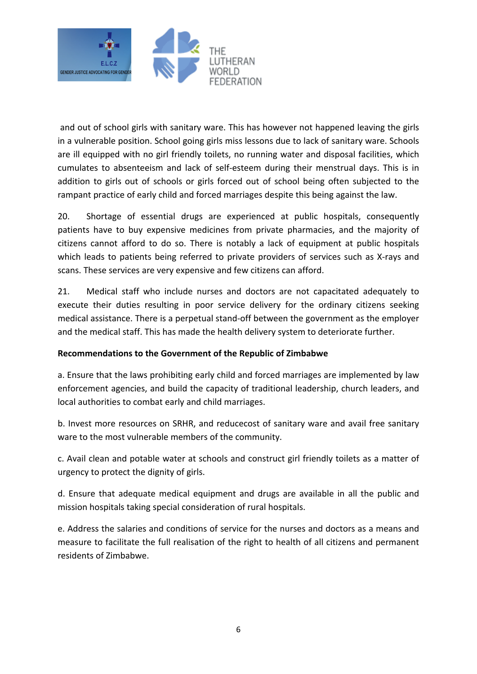

and out of school girls with sanitary ware. This has however not happened leaving the girls in <sup>a</sup> vulnerable position. School going girls miss lessons due to lack of sanitary ware. Schools are ill equipped with no girl friendly toilets, no running water and disposal facilities, which cumulates to absenteeism and lack of self-esteem during their menstrual days. This is in addition to girls out of schools or girls forced out of school being often subjected to the rampant practice of early child and forced marriages despite this being against the law.

20. Shortage of essential drugs are experienced at public hospitals, consequently patients have to buy expensive medicines from private pharmacies, and the majority of citizens cannot afford to do so. There is notably <sup>a</sup> lack of equipment at public hospitals which leads to patients being referred to private providers of services such as X-rays and scans. These services are very expensive and few citizens can afford.

21. Medical staff who include nurses and doctors are not capacitated adequately to execute their duties resulting in poor service delivery for the ordinary citizens seeking medical assistance. There is <sup>a</sup> perpetual stand-off between the government as the employer and the medical staff. This has made the health delivery system to deteriorate further.

# **Recommendations to the Government of the Republic of Zimbabwe**

a. Ensure that the laws prohibiting early child and forced marriages are implemented by law enforcement agencies, and build the capacity of traditional leadership, church leaders, and local authorities to combat early and child marriages.

b. Invest more resources on SRHR, and reducecost of sanitary ware and avail free sanitary ware to the most vulnerable members of the community.

c. Avail clean and potable water at schools and construct girl friendly toilets as <sup>a</sup> matter of urgency to protect the dignity of girls.

d. Ensure that adequate medical equipment and drugs are available in all the public and mission hospitals taking special consideration of rural hospitals.

e. Address the salaries and conditions of service for the nurses and doctors as <sup>a</sup> means and measure to facilitate the full realisation of the right to health of all citizens and permanent residents of Zimbabwe.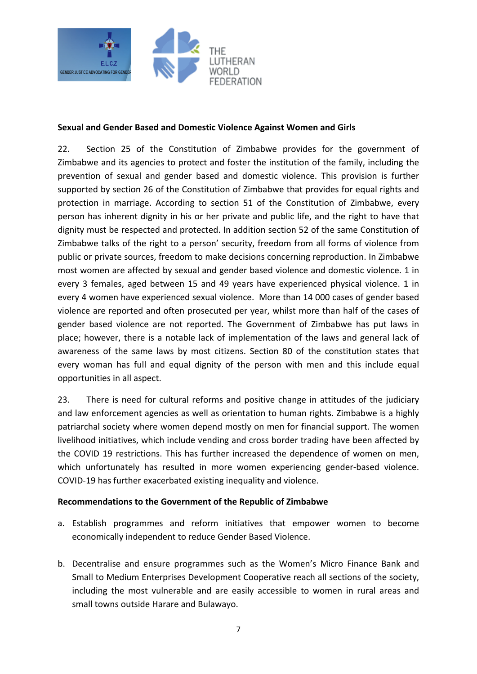

#### **Sexual and Gender Based and Domestic Violence Against Women and Girls**

22. Section 25 of the Constitution of Zimbabwe provides for the government of Zimbabwe and its agencies to protect and foster the institution of the family, including the prevention of sexual and gender based and domestic violence. This provision is further supported by section 26 of the Constitution of Zimbabwe that provides for equal rights and protection in marriage. According to section 51 of the Constitution of Zimbabwe, every person has inherent dignity in his or her private and public life, and the right to have that dignity must be respected and protected. In addition section 52 of the same Constitution of Zimbabwe talks of the right to <sup>a</sup> person' security, freedom from all forms of violence from public or private sources, freedom to make decisions concerning reproduction. In Zimbabwe most women are affected by sexual and gender based violence and domestic violence. 1 in every 3 females, aged between 15 and 49 years have experienced physical violence. 1 in every 4 women have experienced sexual violence. More than 14 000 cases of gender based violence are reported and often prosecuted per year, whilst more than half of the cases of gender based violence are not reported. The Government of Zimbabwe has put laws in place; however, there is <sup>a</sup> notable lack of implementation of the laws and general lack of awareness of the same laws by most citizens. Section 80 of the constitution states that every woman has full and equal dignity of the person with men and this include equal opportunities in all aspect.

23. There is need for cultural reforms and positive change in attitudes of the judiciary and law enforcement agencies as well as orientation to human rights. Zimbabwe is <sup>a</sup> highly patriarchal society where women depend mostly on men for financial support. The women livelihood initiatives, which include vending and cross border trading have been affected by the COVID 19 restrictions. This has further increased the dependence of women on men, which unfortunately has resulted in more women experiencing gender-based violence. COVID-19 has further exacerbated existing inequality and violence.

# **Recommendations to the Government of the Republic of Zimbabwe**

- a. Establish programmes and reform initiatives that empower women to become economically independent to reduce Gender Based Violence.
- b. Decentralise and ensure programmes such as the Women'<sup>s</sup> Micro Finance Bank and Small to Medium Enterprises Development Cooperative reach all sections of the society, including the most vulnerable and are easily accessible to women in rural areas and small towns outside Harare and Bulawayo.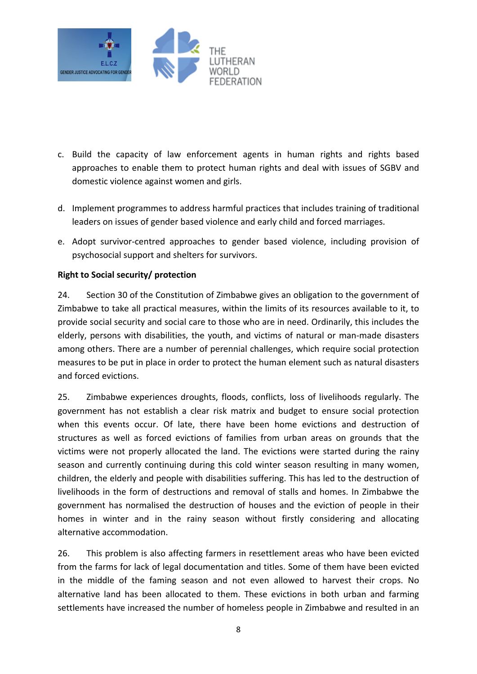

- c. Build the capacity of law enforcement agents in human rights and rights based approaches to enable them to protect human rights and deal with issues of SGBV and domestic violence against women and girls.
- d. Implement programmes to address harmful practices that includes training of traditional leaders on issues of gender based violence and early child and forced marriages.
- e. Adopt survivor-centred approaches to gender based violence, including provision of psychosocial support and shelters for survivors.

# **Right to Social security/ protection**

24. Section 30 of the Constitution of Zimbabwe gives an obligation to the government of Zimbabwe to take all practical measures, within the limits of its resources available to it, to provide social security and social care to those who are in need. Ordinarily, this includes the elderly, persons with disabilities, the youth, and victims of natural or man-made disasters among others. There are <sup>a</sup> number of perennial challenges, which require social protection measures to be put in place in order to protect the human element such as natural disasters and forced evictions.

25. Zimbabwe experiences droughts, floods, conflicts, loss of livelihoods regularly. The government has not establish <sup>a</sup> clear risk matrix and budget to ensure social protection when this events occur. Of late, there have been home evictions and destruction of structures as well as forced evictions of families from urban areas on grounds that the victims were not properly allocated the land. The evictions were started during the rainy season and currently continuing during this cold winter season resulting in many women, children, the elderly and people with disabilities suffering. This has led to the destruction of livelihoods in the form of destructions and removal of stalls and homes. In Zimbabwe the government has normalised the destruction of houses and the eviction of people in their homes in winter and in the rainy season without firstly considering and allocating alternative accommodation.

26. This problem is also affecting farmers in resettlement areas who have been evicted from the farms for lack of legal documentation and titles. Some of them have been evicted in the middle of the faming season and not even allowed to harvest their crops. No alternative land has been allocated to them. These evictions in both urban and farming settlements have increased the number of homeless people in Zimbabwe and resulted in an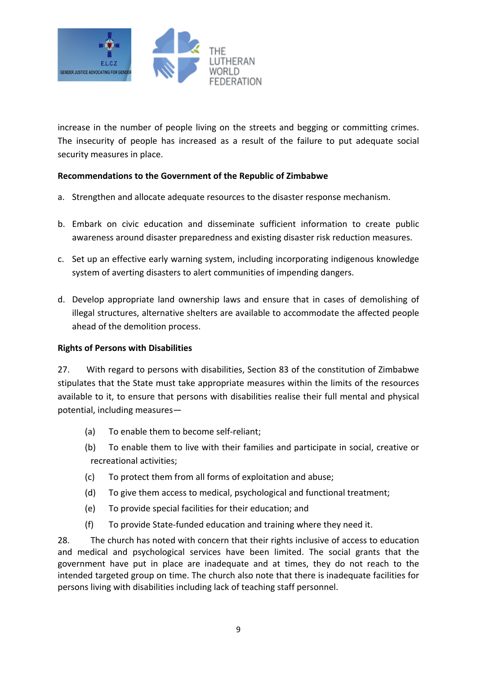

increase in the number of people living on the streets and begging or committing crimes. The insecurity of people has increased as <sup>a</sup> result of the failure to put adequate social security measures in place.

# **Recommendations to the Government of the Republic of Zimbabwe**

- a. Strengthen and allocate adequate resources to the disaster response mechanism.
- b. Embark on civic education and disseminate sufficient information to create public awareness around disaster preparedness and existing disaster risk reduction measures.
- c. Set up an effective early warning system, including incorporating indigenous knowledge system of averting disasters to alert communities of impending dangers.
- d. Develop appropriate land ownership laws and ensure that in cases of demolishing of illegal structures, alternative shelters are available to accommodate the affected people ahead of the demolition process.

#### **Rights of Persons with Disabilities**

27. With regard to persons with disabilities, Section 83 of the constitution of Zimbabwe stipulates that the State must take appropriate measures within the limits of the resources available to it, to ensure that persons with disabilities realise their full mental and physical potential, including measures—

- (a) To enable them to become self-reliant;
- (b) To enable them to live with their families and participate in social, creative or recreational activities;
- (c) To protect them from all forms of exploitation and abuse;
- (d) To give them access to medical, psychological and functional treatment;
- (e) To provide special facilities for their education; and
- (f) To provide State-funded education and training where they need it.

28. The church has noted with concern that their rights inclusive of access to education and medical and psychological services have been limited. The social grants that the government have put in place are inadequate and at times, they do not reach to the intended targeted group on time. The church also note that there is inadequate facilities for persons living with disabilities including lack of teaching staff personnel.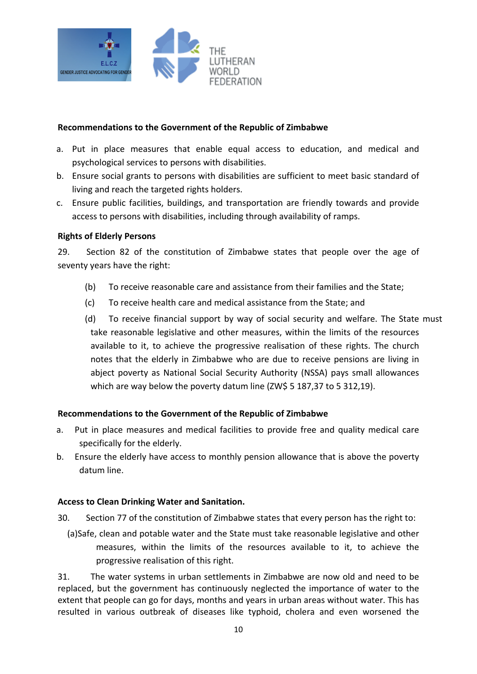

#### **Recommendations to the Government of the Republic of Zimbabwe**

- a. Put in place measures that enable equal access to education, and medical and psychological services to persons with disabilities.
- b. Ensure social grants to persons with disabilities are sufficient to meet basic standard of living and reach the targeted rights holders.
- c. Ensure public facilities, buildings, and transportation are friendly towards and provide access to persons with disabilities, including through availability of ramps.

#### **Rights of Elderly Persons**

29. Section 82 of the constitution of Zimbabwe states that people over the age of seventy years have the right:

- (b) To receive reasonable care and assistance from their families and the State;
- (c) To receive health care and medical assistance from the State; and
- (d) To receive financial support by way of social security and welfare. The State must take reasonable legislative and other measures, within the limits of the resources available to it, to achieve the progressive realisation of these rights. The church notes that the elderly in Zimbabwe who are due to receive pensions are living in abject poverty as National Social Security Authority (NSSA) pays small allowances which are way below the poverty datum line (ZW\$ 5 187,37 to 5 312,19).

#### **Recommendations to the Government of the Republic of Zimbabwe**

- a. Put in place measures and medical facilities to provide free and quality medical care specifically for the elderly.
- b. Ensure the elderly have access to monthly pension allowance that is above the poverty datum line.

#### **Access to Clean Drinking Water and Sanitation.**

- 30. Section 77 of the constitution of Zimbabwe states that every person has the right to:
	- (a)Safe, clean and potable water and the State must take reasonable legislative and other measures, within the limits of the resources available to it, to achieve the progressive realisation of this right.

31. The water systems in urban settlements in Zimbabwe are now old and need to be replaced, but the government has continuously neglected the importance of water to the extent that people can go for days, months and years in urban areas without water. This has resulted in various outbreak of diseases like typhoid, cholera and even worsened the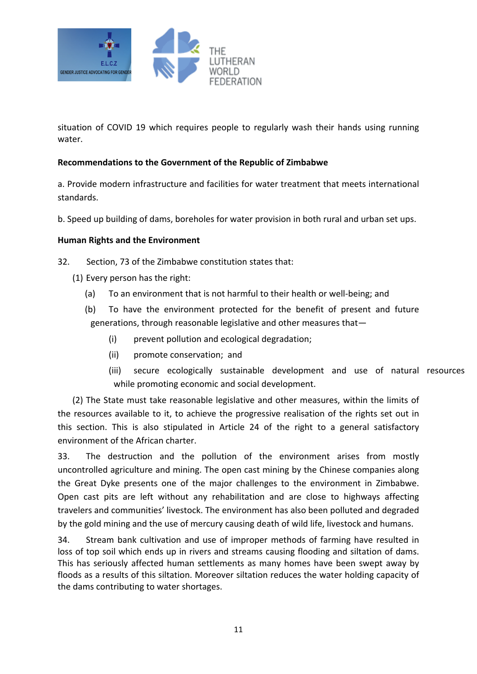

situation of COVID 19 which requires people to regularly wash their hands using running water.

#### **Recommendations to the Government of the Republic of Zimbabwe**

a. Provide modern infrastructure and facilities for water treatment that meets international standards.

b. Speed up building of dams, boreholes for water provision in both rural and urban set ups.

#### **Human Rights and the Environment**

32. Section, 73 of the Zimbabwe constitution states that:

- (1) Every person has the right:
	- (a) To an environment that is not harmful to their health or well-being; and
	- (b) To have the environment protected for the benefit of present and future generations, through reasonable legislative and other measures that—
		- (i) prevent pollution and ecological degradation;
		- (ii) promote conservation; and
		- (iii) secure ecologically sustainable development and use of natural resources while promoting economic and social development.

(2) The State must take reasonable legislative and other measures, within the limits of the resources available to it, to achieve the progressive realisation of the rights set out in this section. This is also stipulated in Article 24 of the right to <sup>a</sup> general satisfactory environment of the African charter.

33. The destruction and the pollution of the environment arises from mostly uncontrolled agriculture and mining. The open cast mining by the Chinese companies along the Great Dyke presents one of the major challenges to the environment in Zimbabwe. Open cast pits are left without any rehabilitation and are close to highways affecting travelers and communities' livestock. The environment has also been polluted and degraded by the gold mining and the use of mercury causing death of wild life, livestock and humans.

34. Stream bank cultivation and use of improper methods of farming have resulted in loss of top soil which ends up in rivers and streams causing flooding and siltation of dams. This has seriously affected human settlements as many homes have been swept away by floods as <sup>a</sup> results of this siltation. Moreover siltation reduces the water holding capacity of the dams contributing to water shortages.